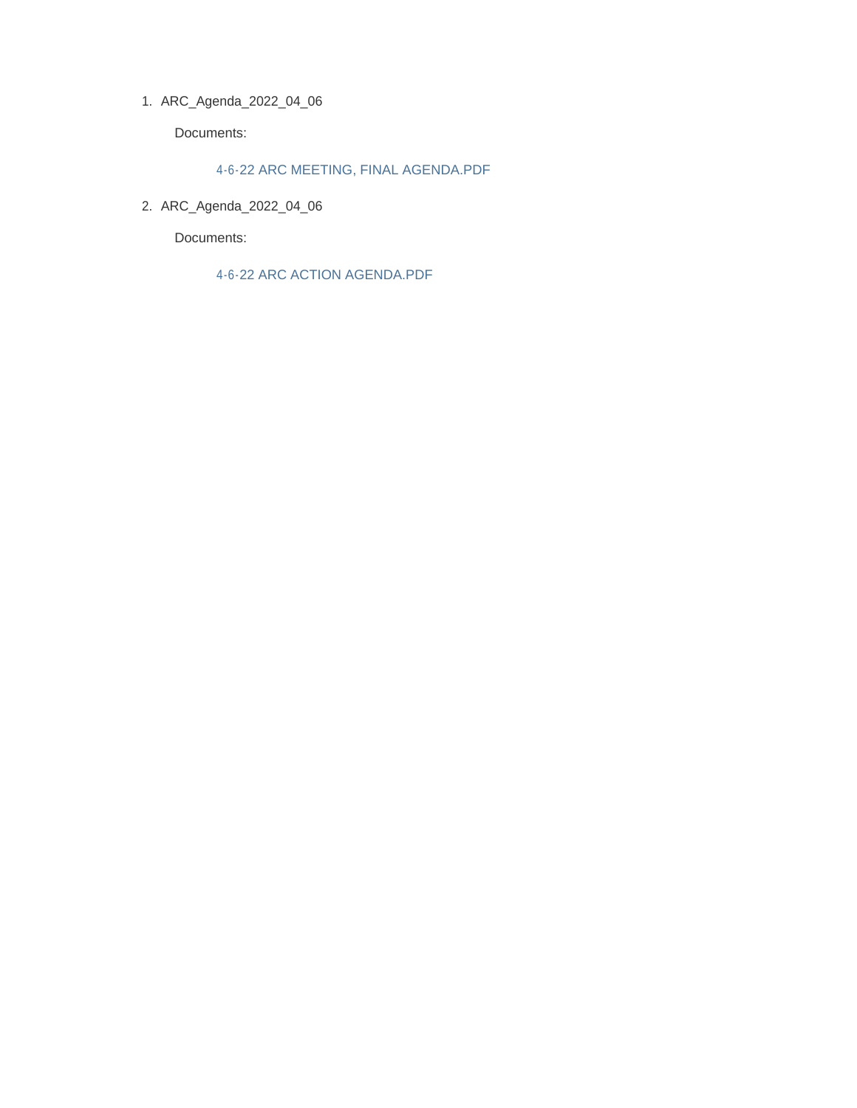ARC\_Agenda\_2022\_04\_06 1.

Documents:

### 4-6-22 ARC MEETING, FINAL AGENDA.PDF

ARC\_Agenda\_2022\_04\_06 2.

Documents:

4-6-22 ARC ACTION AGENDA.PDF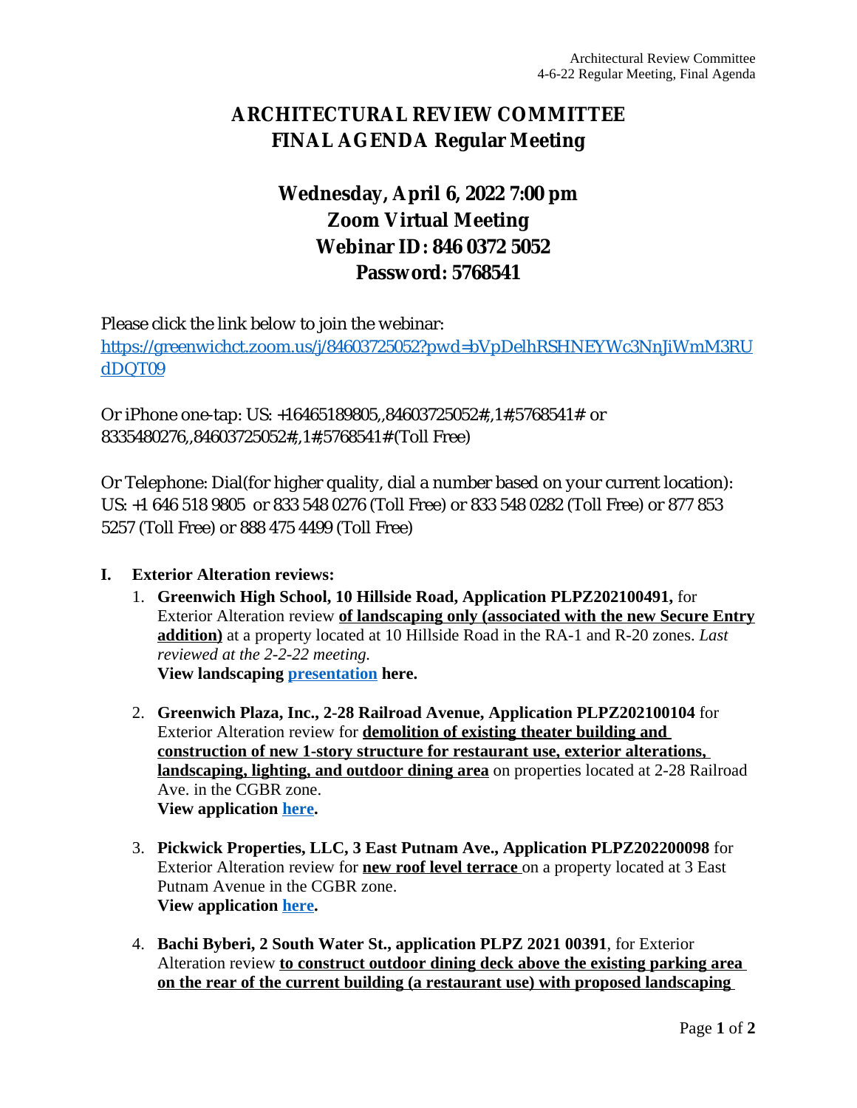# **ARCHITECTURAL REVIEW COMMITTEE FINAL AGENDA Regular Meeting**

# **Wednesday, April 6, 2022 7:00 pm Zoom Virtual Meeting Webinar ID: 846 0372 5052 Password: 5768541**

Please click the link below to join the webinar: [https://greenwichct.zoom.us/j/84603725052?pwd=bVpDelhRSHNEYWc3NnJiWmM3RU](https://greenwichct.zoom.us/j/84603725052?pwd=bVpDelhRSHNEYWc3NnJiWmM3RUdDQT09) dDQT09

Or iPhone one-tap: US: +16465189805,,84603725052#,,1#,5768541# or 8335480276,,84603725052#,,1#,5768541# (Toll Free)

Or Telephone: Dial(for higher quality, dial a number based on your current location): US: +1 646 518 9805 or 833 548 0276 (Toll Free) or 833 548 0282 (Toll Free) or 877 853 5257 (Toll Free) or 888 475 4499 (Toll Free)

## **I. Exterior Alteration reviews:**

- 1. **Greenwich High School, 10 Hillside Road, Application PLPZ202100491,** for Exterior Alteration review **of landscaping only (associated with the new Secure Entry addition)** at a property located at 10 Hillside Road in the RA-1 and R-20 zones. *Last reviewed at the 2-2-22 meeting.* **View landscaping [presentation](https://www.greenwichct.gov/DocumentCenter/View/29457/2022-03-29_Greenwich-High-School_Revised-Schematic-Design) here.**
- 2. **Greenwich Plaza, Inc., 2-28 Railroad Avenue, Application PLPZ202100104** for Exterior Alteration review for **demolition of existing theater building and construction of new 1-story structure for restaurant use, exterior alterations, landscaping, lighting, and outdoor dining area** on properties located at 2-28 Railroad Ave. in the CGBR zone. **View application [here](https://www.greenwichct.gov/DocumentCenter/View/29454/2-28-RR-Ave-PLPZ-202200104).**
- 3. **Pickwick Properties, LLC, 3 East Putnam Ave., Application PLPZ202200098** for Exterior Alteration review for **new roof level terrace** on a property located at 3 East Putnam Avenue in the CGBR zone. **View application [here](https://www.greenwichct.gov/DocumentCenter/View/29455/3-EPA-Pickwick-Plaza-terrace-PLPZ-202200098).**
- 4. **Bachi Byberi, 2 South Water St., application PLPZ 2021 00391**, for Exterior Alteration review **to construct outdoor dining deck above the existing parking area on the rear of the current building (a restaurant use) with proposed landscaping**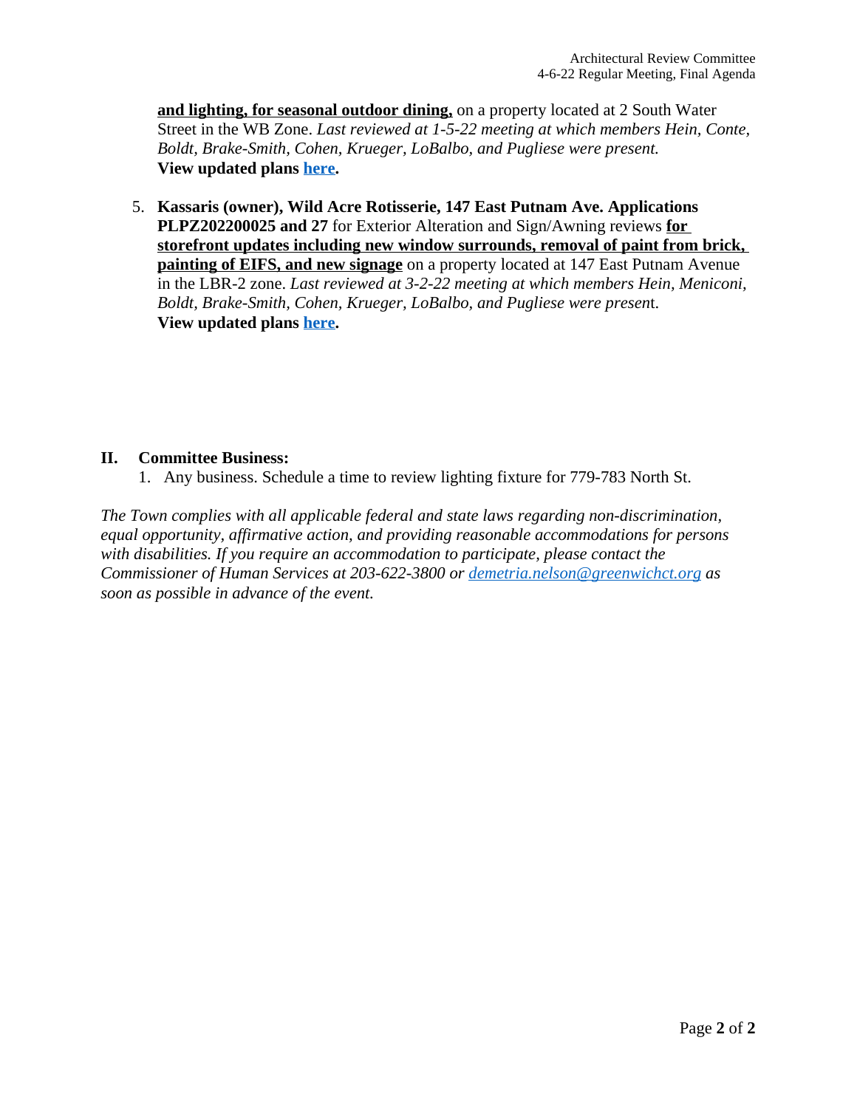**and lighting, for seasonal outdoor dining,** on a property located at 2 South Water Street in the WB Zone. *Last reviewed at 1-5-22 meeting at which members Hein, Conte, Boldt, Brake-Smith, Cohen, Krueger, LoBalbo, and Pugliese were present.* **View updated plans [here.](https://www.greenwichct.gov/DocumentCenter/View/29453/2-S-Water-St-revised-EA-PLPZ-202100391)**

5. **Kassaris (owner), Wild Acre Rotisserie, 147 East Putnam Ave. Applications PLPZ202200025 and 27** for Exterior Alteration and Sign/Awning reviews **for storefront updates including new window surrounds, removal of paint from brick, painting of EIFS, and new signage** on a property located at 147 East Putnam Avenue in the LBR-2 zone. *Last reviewed at 3-2-22 meeting at which members Hein, Meniconi, Boldt, Brake-Smith, Cohen, Krueger, LoBalbo, and Pugliese were presen*t. **View updated plans [here.](https://www.greenwichct.gov/DocumentCenter/View/29456/147-EPA-WildAcre-sign-EA-revised-202200025-and-27)**

## **II. Committee Business:**

1. Any business. Schedule a time to review lighting fixture for 779-783 North St.

*The Town complies with all applicable federal and state laws regarding non-discrimination, equal opportunity, affirmative action, and providing reasonable accommodations for persons with disabilities. If you require an accommodation to participate, please contact the Commissioner of Human Services at 203-622-3800 or [demetria.nelson@greenwichct.org](mailto:demetria.nelson@greenwichct.org) as soon as possible in advance of the event.*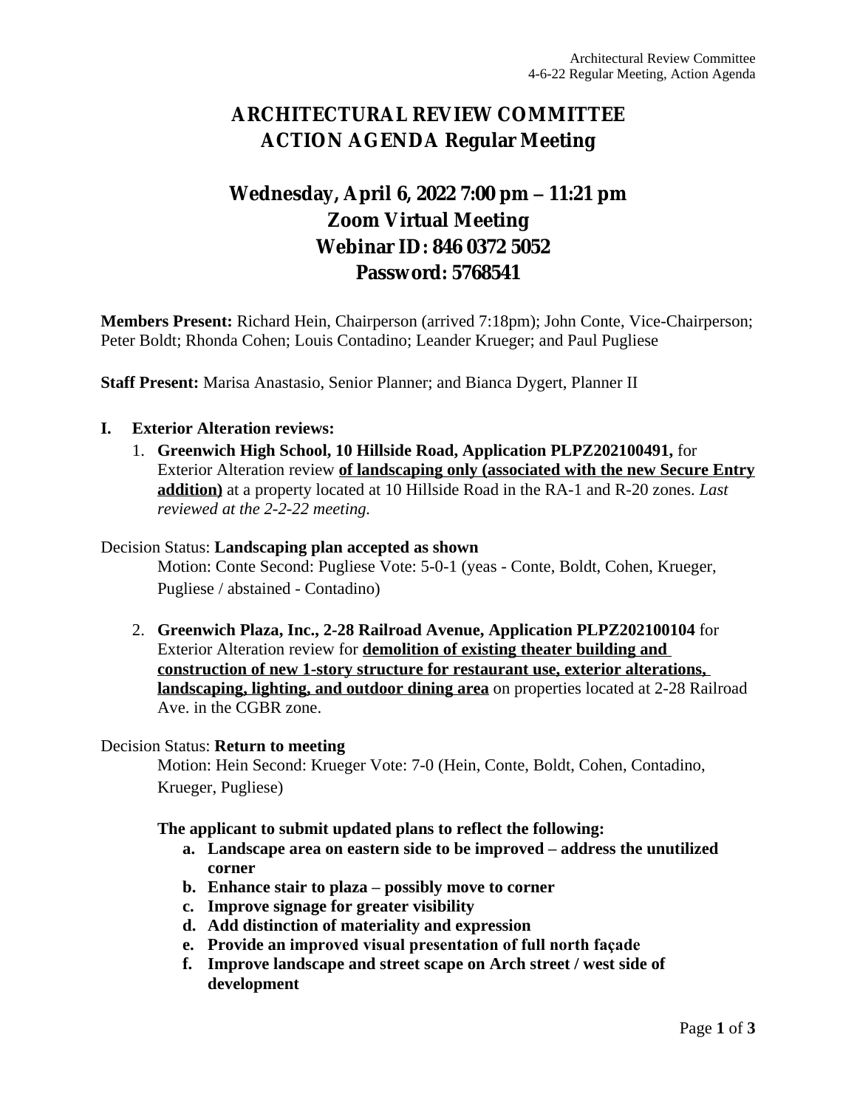# **ARCHITECTURAL REVIEW COMMITTEE ACTION AGENDA Regular Meeting**

# **Wednesday, April 6, 2022 7:00 pm – 11:21 pm Zoom Virtual Meeting Webinar ID: 846 0372 5052 Password: 5768541**

**Members Present:** Richard Hein, Chairperson (arrived 7:18pm); John Conte, Vice-Chairperson; Peter Boldt; Rhonda Cohen; Louis Contadino; Leander Krueger; and Paul Pugliese

**Staff Present:** Marisa Anastasio, Senior Planner; and Bianca Dygert, Planner II

#### **I. Exterior Alteration reviews:**

1. **Greenwich High School, 10 Hillside Road, Application PLPZ202100491,** for Exterior Alteration review **of landscaping only (associated with the new Secure Entry addition)** at a property located at 10 Hillside Road in the RA-1 and R-20 zones. *Last reviewed at the 2-2-22 meeting.*

#### Decision Status: **Landscaping plan accepted as shown**

Motion: Conte Second: Pugliese Vote: 5-0-1 (yeas - Conte, Boldt, Cohen, Krueger, Pugliese / abstained - Contadino)

2. **Greenwich Plaza, Inc., 2-28 Railroad Avenue, Application PLPZ202100104** for Exterior Alteration review for **demolition of existing theater building and construction of new 1-story structure for restaurant use, exterior alterations, landscaping, lighting, and outdoor dining area** on properties located at 2-28 Railroad Ave. in the CGBR zone.

#### Decision Status: **Return to meeting**

Motion: Hein Second: Krueger Vote: 7-0 (Hein, Conte, Boldt, Cohen, Contadino, Krueger, Pugliese)

#### **The applicant to submit updated plans to reflect the following:**

- **a. Landscape area on eastern side to be improved – address the unutilized corner**
- **b. Enhance stair to plaza – possibly move to corner**
- **c. Improve signage for greater visibility**
- **d. Add distinction of materiality and expression**
- **e. Provide an improved visual presentation of full north façade**
- **f. Improve landscape and street scape on Arch street / west side of development**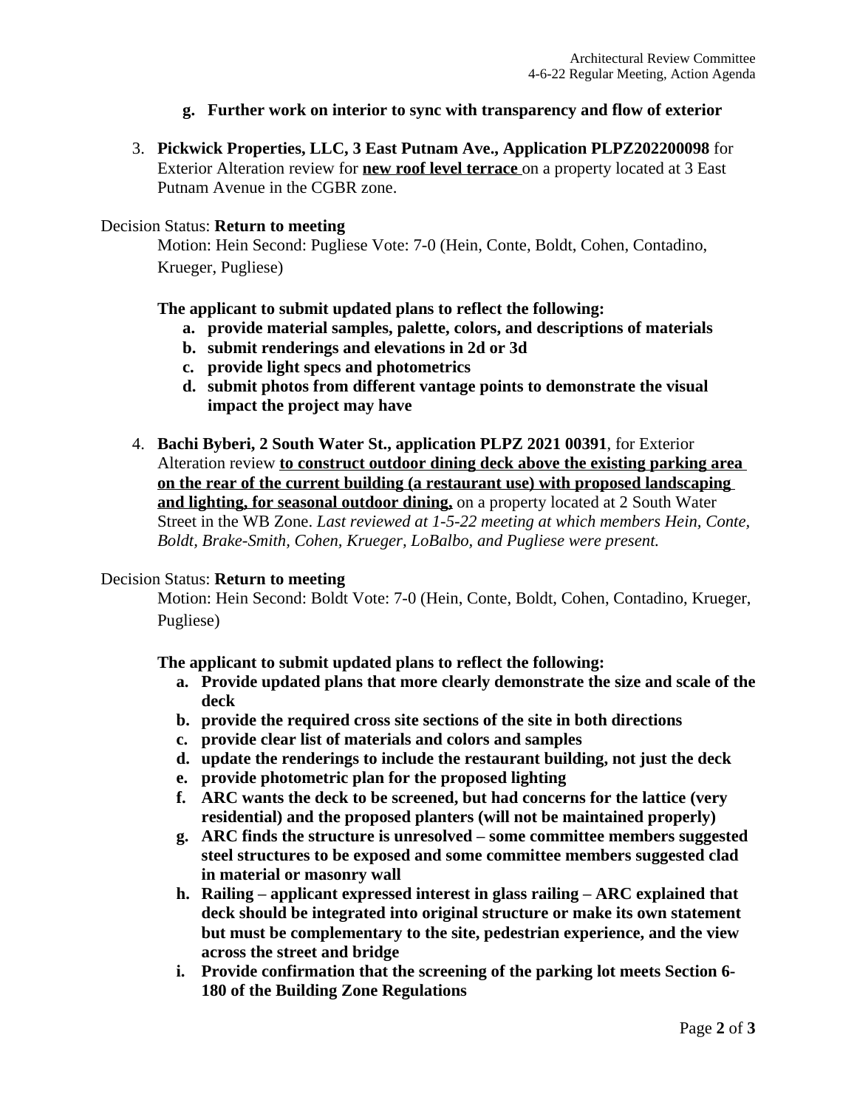- **g. Further work on interior to sync with transparency and flow of exterior**
- 3. **Pickwick Properties, LLC, 3 East Putnam Ave., Application PLPZ202200098** for Exterior Alteration review for **new roof level terrace** on a property located at 3 East Putnam Avenue in the CGBR zone.

### Decision Status: **Return to meeting**

Motion: Hein Second: Pugliese Vote: 7-0 (Hein, Conte, Boldt, Cohen, Contadino, Krueger, Pugliese)

**The applicant to submit updated plans to reflect the following:**

- **a. provide material samples, palette, colors, and descriptions of materials**
- **b. submit renderings and elevations in 2d or 3d**
- **c. provide light specs and photometrics**
- **d. submit photos from different vantage points to demonstrate the visual impact the project may have**
- 4. **Bachi Byberi, 2 South Water St., application PLPZ 2021 00391**, for Exterior Alteration review **to construct outdoor dining deck above the existing parking area on the rear of the current building (a restaurant use) with proposed landscaping and lighting, for seasonal outdoor dining,** on a property located at 2 South Water Street in the WB Zone. *Last reviewed at 1-5-22 meeting at which members Hein, Conte, Boldt, Brake-Smith, Cohen, Krueger, LoBalbo, and Pugliese were present.*

### Decision Status: **Return to meeting**

Motion: Hein Second: Boldt Vote: 7-0 (Hein, Conte, Boldt, Cohen, Contadino, Krueger, Pugliese)

**The applicant to submit updated plans to reflect the following:**

- **a. Provide updated plans that more clearly demonstrate the size and scale of the deck**
- **b. provide the required cross site sections of the site in both directions**
- **c. provide clear list of materials and colors and samples**
- **d. update the renderings to include the restaurant building, not just the deck**
- **e. provide photometric plan for the proposed lighting**
- **f. ARC wants the deck to be screened, but had concerns for the lattice (very residential) and the proposed planters (will not be maintained properly)**
- **g. ARC finds the structure is unresolved – some committee members suggested steel structures to be exposed and some committee members suggested clad in material or masonry wall**
- **h. Railing – applicant expressed interest in glass railing – ARC explained that deck should be integrated into original structure or make its own statement but must be complementary to the site, pedestrian experience, and the view across the street and bridge**
- **i. Provide confirmation that the screening of the parking lot meets Section 6- 180 of the Building Zone Regulations**